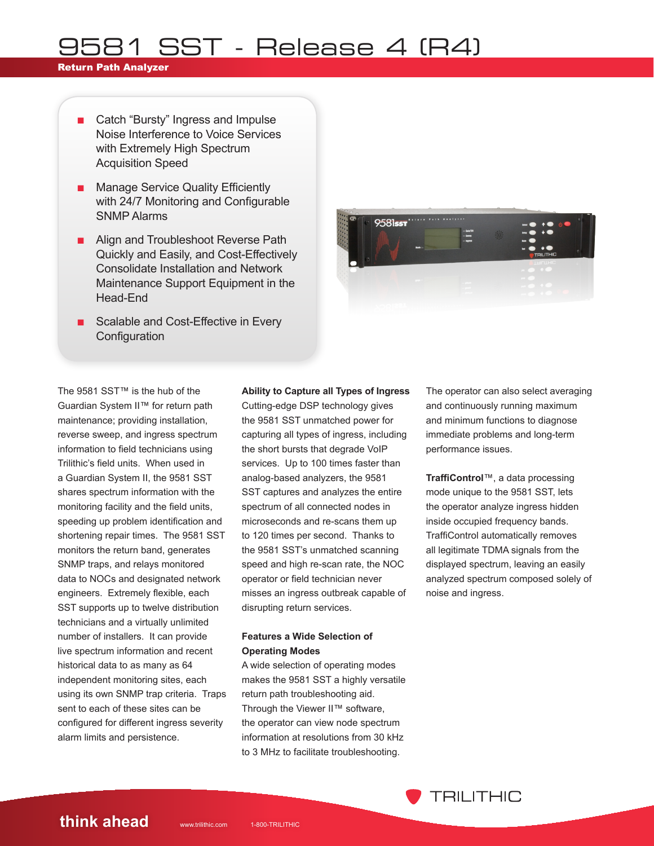### Return Path Analyzer

- Catch "Bursty" Ingress and Impulse Noise Interference to Voice Services with Extremely High Spectrum Acquisition Speed
- Manage Service Quality Efficiently with 24/7 Monitoring and Configurable SNMP Alarms
- Align and Troubleshoot Reverse Path Quickly and Easily, and Cost-Effectively Consolidate Installation and Network Maintenance Support Equipment in the Head-End
- Scalable and Cost-Effective in Every **Configuration**



The 9581 SST™ is the hub of the Guardian System II™ for return path maintenance; providing installation, reverse sweep, and ingress spectrum information to field technicians using Trilithic's field units. When used in a Guardian System II, the 9581 SST shares spectrum information with the monitoring facility and the field units, speeding up problem identification and shortening repair times. The 9581 SST monitors the return band, generates SNMP traps, and relays monitored data to NOCs and designated network engineers. Extremely flexible, each SST supports up to twelve distribution technicians and a virtually unlimited number of installers. It can provide live spectrum information and recent historical data to as many as 64 independent monitoring sites, each using its own SNMP trap criteria. Traps sent to each of these sites can be configured for different ingress severity alarm limits and persistence.

### **Ability to Capture all Types of Ingress**

Cutting-edge DSP technology gives the 9581 SST unmatched power for capturing all types of ingress, including the short bursts that degrade VoIP services. Up to 100 times faster than analog-based analyzers, the 9581 SST captures and analyzes the entire spectrum of all connected nodes in microseconds and re-scans them up to 120 times per second. Thanks to the 9581 SST's unmatched scanning speed and high re-scan rate, the NOC operator or field technician never misses an ingress outbreak capable of disrupting return services.

### **Features a Wide Selection of Operating Modes**

A wide selection of operating modes makes the 9581 SST a highly versatile return path troubleshooting aid. Through the Viewer II™ software, the operator can view node spectrum information at resolutions from 30 kHz to 3 MHz to facilitate troubleshooting.

The operator can also select averaging and continuously running maximum and minimum functions to diagnose immediate problems and long-term performance issues.

**TraffiControl**™, a data processing mode unique to the 9581 SST, lets the operator analyze ingress hidden inside occupied frequency bands. TraffiControl automatically removes all legitimate TDMA signals from the displayed spectrum, leaving an easily analyzed spectrum composed solely of noise and ingress.

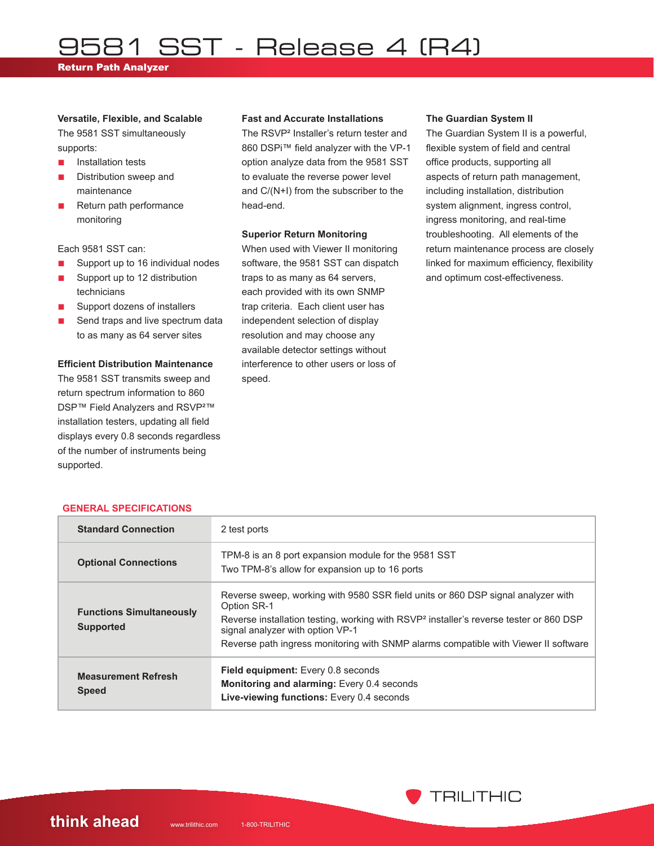Return Path Analyzer

#### **Versatile, Flexible, and Scalable**

The 9581 SST simultaneously supports:

- Installation tests
- Distribution sweep and maintenance
- Return path performance monitoring

Each 9581 SST can:

- Support up to 16 individual nodes
- Support up to 12 distribution technicians
- Support dozens of installers
- Send traps and live spectrum data to as many as 64 server sites

#### **Efficient Distribution Maintenance**

The 9581 SST transmits sweep and return spectrum information to 860 DSP<sup>™</sup> Field Analyzers and RSVP<sup>2™</sup> installation testers, updating all field displays every 0.8 seconds regardless of the number of instruments being supported.

**GENERAL SPECIFICATIONS**

#### **Fast and Accurate Installations**

The RSVP² Installer's return tester and 860 DSPi™ field analyzer with the VP-1 option analyze data from the 9581 SST to evaluate the reverse power level and C/(N+I) from the subscriber to the head-end.

#### **Superior Return Monitoring**

When used with Viewer II monitoring software, the 9581 SST can dispatch traps to as many as 64 servers, each provided with its own SNMP trap criteria. Each client user has independent selection of display resolution and may choose any available detector settings without interference to other users or loss of speed.

#### **The Guardian System II**

The Guardian System II is a powerful, flexible system of field and central office products, supporting all aspects of return path management, including installation, distribution system alignment, ingress control, ingress monitoring, and real-time troubleshooting. All elements of the return maintenance process are closely linked for maximum efficiency, flexibility and optimum cost-effectiveness.

| <b>Standard Connection</b>                          | 2 test ports                                                                                                                                                                                                                                                                                                                     |
|-----------------------------------------------------|----------------------------------------------------------------------------------------------------------------------------------------------------------------------------------------------------------------------------------------------------------------------------------------------------------------------------------|
| <b>Optional Connections</b>                         | TPM-8 is an 8 port expansion module for the 9581 SST<br>Two TPM-8's allow for expansion up to 16 ports                                                                                                                                                                                                                           |
| <b>Functions Simultaneously</b><br><b>Supported</b> | Reverse sweep, working with 9580 SSR field units or 860 DSP signal analyzer with<br>Option SR-1<br>Reverse installation testing, working with RSVP <sup>2</sup> installer's reverse tester or 860 DSP<br>signal analyzer with option VP-1<br>Reverse path ingress monitoring with SNMP alarms compatible with Viewer II software |
| <b>Measurement Refresh</b><br><b>Speed</b>          | <b>Field equipment:</b> Every 0.8 seconds<br>Monitoring and alarming: Every 0.4 seconds<br>Live-viewing functions: Every 0.4 seconds                                                                                                                                                                                             |

## **think ahead** www.trilithic.com 1-800-TRILITHIC

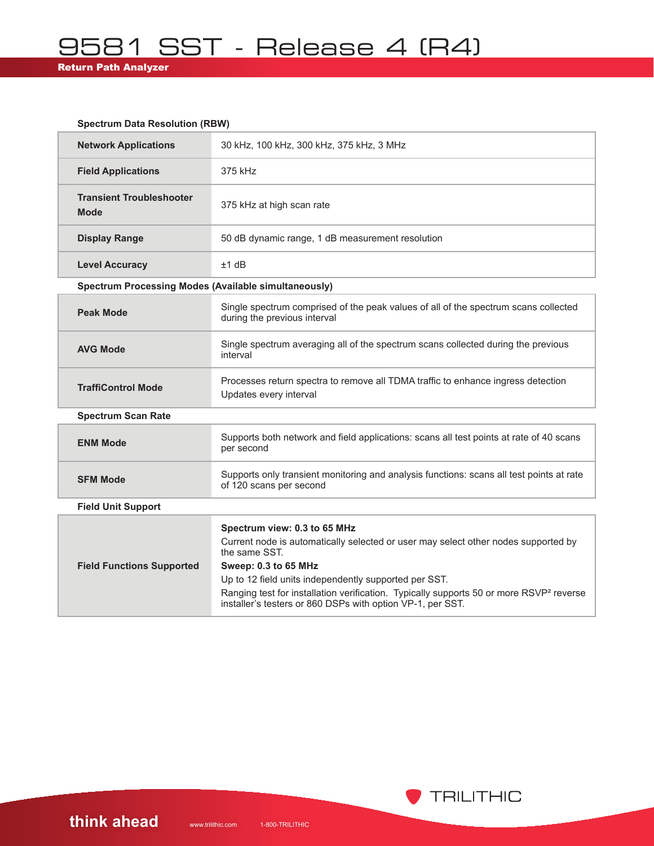## Return Path Analyzer

### **Spectrum Data Resolution (RBW)**

| <b>Network Applications</b>                                 | 30 kHz, 100 kHz, 300 kHz, 375 kHz, 3 MHz                                                                                                                                                                             |  |
|-------------------------------------------------------------|----------------------------------------------------------------------------------------------------------------------------------------------------------------------------------------------------------------------|--|
| <b>Field Applications</b>                                   | 375 kHz                                                                                                                                                                                                              |  |
| <b>Transient Troubleshooter</b><br><b>Mode</b>              | 375 kHz at high scan rate                                                                                                                                                                                            |  |
| <b>Display Range</b>                                        | 50 dB dynamic range, 1 dB measurement resolution                                                                                                                                                                     |  |
| <b>Level Accuracy</b>                                       | $±1$ dB                                                                                                                                                                                                              |  |
| <b>Spectrum Processing Modes (Available simultaneously)</b> |                                                                                                                                                                                                                      |  |
| <b>Peak Mode</b>                                            | Single spectrum comprised of the peak values of all of the spectrum scans collected<br>during the previous interval                                                                                                  |  |
| <b>AVG Mode</b>                                             | Single spectrum averaging all of the spectrum scans collected during the previous<br>interval                                                                                                                        |  |
| <b>TraffiControl Mode</b>                                   | Processes return spectra to remove all TDMA traffic to enhance ingress detection<br>Updates every interval                                                                                                           |  |
| <b>Spectrum Scan Rate</b>                                   |                                                                                                                                                                                                                      |  |
| <b>ENM Mode</b>                                             | Supports both network and field applications: scans all test points at rate of 40 scans<br>per second                                                                                                                |  |
| <b>SFM Mode</b>                                             | Supports only transient monitoring and analysis functions: scans all test points at rate<br>of 120 scans per second                                                                                                  |  |
| <b>Field Unit Support</b>                                   |                                                                                                                                                                                                                      |  |
| <b>Field Functions Supported</b>                            | Spectrum view: 0.3 to 65 MHz<br>Current node is automatically selected or user may select other nodes supported by<br>the same SST.<br>Sweep: 0.3 to 65 MHz<br>Up to 12 field units independently supported per SST. |  |
|                                                             | Ranging test for installation verification. Typically supports 50 or more RSVP <sup>2</sup> reverse<br>installer's testers or 860 DSPs with option VP-1, per SST.                                                    |  |